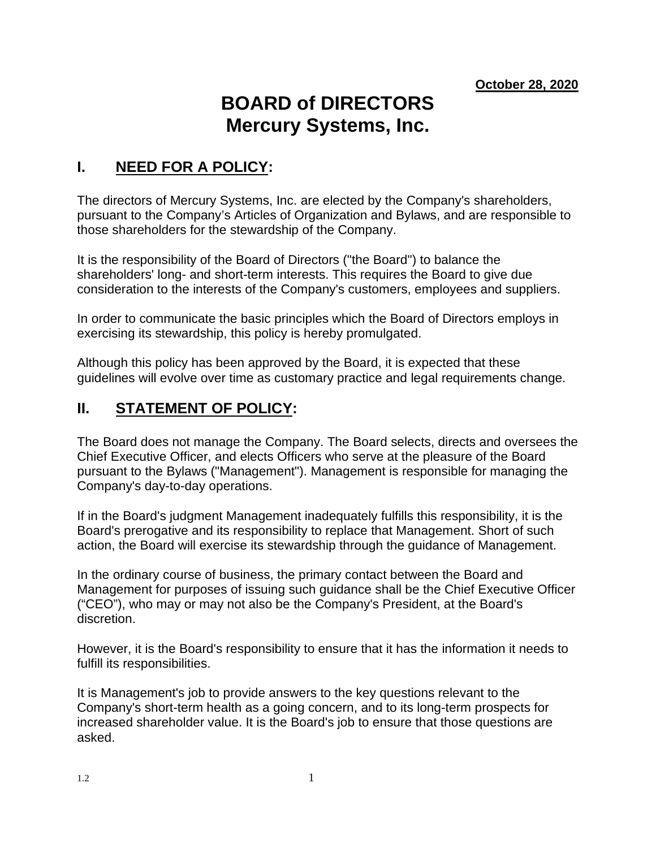# **BOARD of DIRECTORS Mercury Systems, Inc.**

## **I. NEED FOR A POLICY:**

The directors of Mercury Systems, Inc. are elected by the Company's shareholders, pursuant to the Company's Articles of Organization and Bylaws, and are responsible to those shareholders for the stewardship of the Company.

It is the responsibility of the Board of Directors ("the Board") to balance the shareholders' long- and short-term interests. This requires the Board to give due consideration to the interests of the Company's customers, employees and suppliers.

In order to communicate the basic principles which the Board of Directors employs in exercising its stewardship, this policy is hereby promulgated.

Although this policy has been approved by the Board, it is expected that these guidelines will evolve over time as customary practice and legal requirements change.

## **II. STATEMENT OF POLICY:**

The Board does not manage the Company. The Board selects, directs and oversees the Chief Executive Officer, and elects Officers who serve at the pleasure of the Board pursuant to the Bylaws ("Management"). Management is responsible for managing the Company's day-to-day operations.

If in the Board's judgment Management inadequately fulfills this responsibility, it is the Board's prerogative and its responsibility to replace that Management. Short of such action, the Board will exercise its stewardship through the guidance of Management.

In the ordinary course of business, the primary contact between the Board and Management for purposes of issuing such guidance shall be the Chief Executive Officer ("CEO"), who may or may not also be the Company's President, at the Board's discretion.

However, it is the Board's responsibility to ensure that it has the information it needs to fulfill its responsibilities.

It is Management's job to provide answers to the key questions relevant to the Company's short-term health as a going concern, and to its long-term prospects for increased shareholder value. It is the Board's job to ensure that those questions are asked.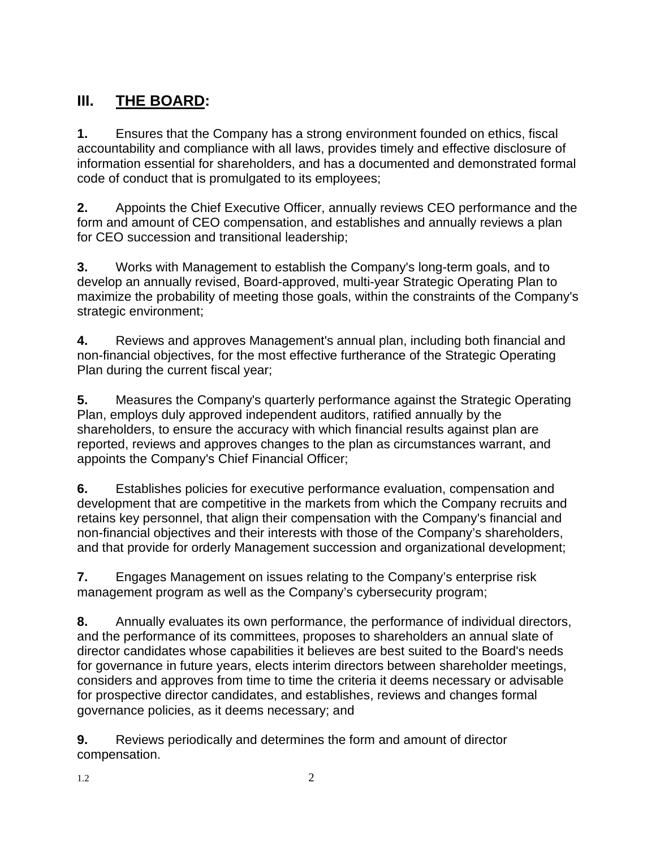# **III. THE BOARD:**

**1.** Ensures that the Company has a strong environment founded on ethics, fiscal accountability and compliance with all laws, provides timely and effective disclosure of information essential for shareholders, and has a documented and demonstrated formal code of conduct that is promulgated to its employees;

**2.** Appoints the Chief Executive Officer, annually reviews CEO performance and the form and amount of CEO compensation, and establishes and annually reviews a plan for CEO succession and transitional leadership;

**3.** Works with Management to establish the Company's long-term goals, and to develop an annually revised, Board-approved, multi-year Strategic Operating Plan to maximize the probability of meeting those goals, within the constraints of the Company's strategic environment;

**4.** Reviews and approves Management's annual plan, including both financial and non-financial objectives, for the most effective furtherance of the Strategic Operating Plan during the current fiscal year;

**5.** Measures the Company's quarterly performance against the Strategic Operating Plan, employs duly approved independent auditors, ratified annually by the shareholders, to ensure the accuracy with which financial results against plan are reported, reviews and approves changes to the plan as circumstances warrant, and appoints the Company's Chief Financial Officer;

**6.** Establishes policies for executive performance evaluation, compensation and development that are competitive in the markets from which the Company recruits and retains key personnel, that align their compensation with the Company's financial and non-financial objectives and their interests with those of the Company's shareholders, and that provide for orderly Management succession and organizational development;

**7.** Engages Management on issues relating to the Company's enterprise risk management program as well as the Company's cybersecurity program;

**8.** Annually evaluates its own performance, the performance of individual directors, and the performance of its committees, proposes to shareholders an annual slate of director candidates whose capabilities it believes are best suited to the Board's needs for governance in future years, elects interim directors between shareholder meetings, considers and approves from time to time the criteria it deems necessary or advisable for prospective director candidates, and establishes, reviews and changes formal governance policies, as it deems necessary; and

**9.** Reviews periodically and determines the form and amount of director compensation.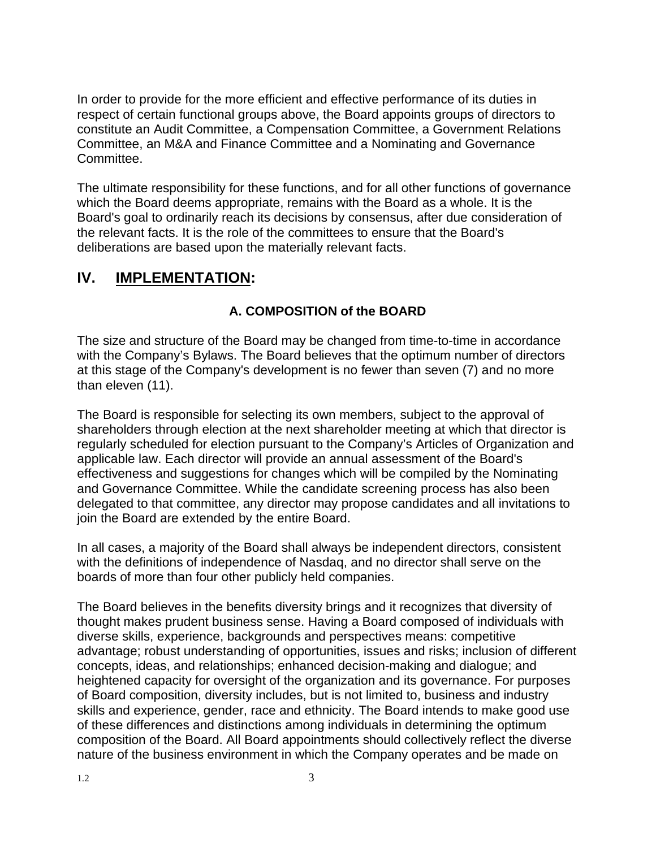In order to provide for the more efficient and effective performance of its duties in respect of certain functional groups above, the Board appoints groups of directors to constitute an Audit Committee, a Compensation Committee, a Government Relations Committee, an M&A and Finance Committee and a Nominating and Governance Committee.

The ultimate responsibility for these functions, and for all other functions of governance which the Board deems appropriate, remains with the Board as a whole. It is the Board's goal to ordinarily reach its decisions by consensus, after due consideration of the relevant facts. It is the role of the committees to ensure that the Board's deliberations are based upon the materially relevant facts.

# **IV. IMPLEMENTATION:**

#### **A. COMPOSITION of the BOARD**

The size and structure of the Board may be changed from time-to-time in accordance with the Company's Bylaws. The Board believes that the optimum number of directors at this stage of the Company's development is no fewer than seven (7) and no more than eleven (11).

The Board is responsible for selecting its own members, subject to the approval of shareholders through election at the next shareholder meeting at which that director is regularly scheduled for election pursuant to the Company's Articles of Organization and applicable law. Each director will provide an annual assessment of the Board's effectiveness and suggestions for changes which will be compiled by the Nominating and Governance Committee. While the candidate screening process has also been delegated to that committee, any director may propose candidates and all invitations to join the Board are extended by the entire Board.

In all cases, a majority of the Board shall always be independent directors, consistent with the definitions of independence of Nasdaq, and no director shall serve on the boards of more than four other publicly held companies.

The Board believes in the benefits diversity brings and it recognizes that diversity of thought makes prudent business sense. Having a Board composed of individuals with diverse skills, experience, backgrounds and perspectives means: competitive advantage; robust understanding of opportunities, issues and risks; inclusion of different concepts, ideas, and relationships; enhanced decision-making and dialogue; and heightened capacity for oversight of the organization and its governance. For purposes of Board composition, diversity includes, but is not limited to, business and industry skills and experience, gender, race and ethnicity. The Board intends to make good use of these differences and distinctions among individuals in determining the optimum composition of the Board. All Board appointments should collectively reflect the diverse nature of the business environment in which the Company operates and be made on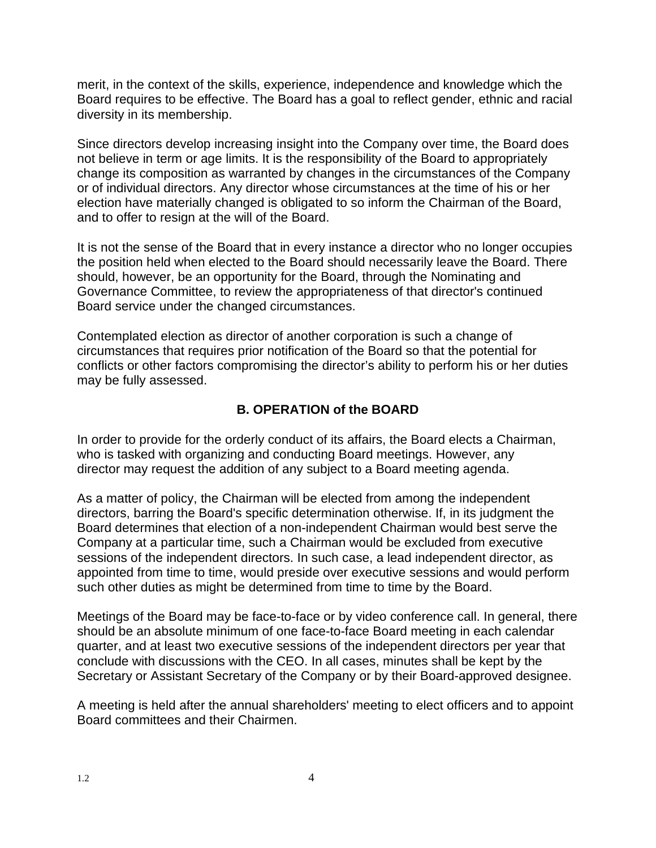merit, in the context of the skills, experience, independence and knowledge which the Board requires to be effective. The Board has a goal to reflect gender, ethnic and racial diversity in its membership.

Since directors develop increasing insight into the Company over time, the Board does not believe in term or age limits. It is the responsibility of the Board to appropriately change its composition as warranted by changes in the circumstances of the Company or of individual directors. Any director whose circumstances at the time of his or her election have materially changed is obligated to so inform the Chairman of the Board, and to offer to resign at the will of the Board.

It is not the sense of the Board that in every instance a director who no longer occupies the position held when elected to the Board should necessarily leave the Board. There should, however, be an opportunity for the Board, through the Nominating and Governance Committee, to review the appropriateness of that director's continued Board service under the changed circumstances.

Contemplated election as director of another corporation is such a change of circumstances that requires prior notification of the Board so that the potential for conflicts or other factors compromising the director's ability to perform his or her duties may be fully assessed.

#### **B. OPERATION of the BOARD**

In order to provide for the orderly conduct of its affairs, the Board elects a Chairman, who is tasked with organizing and conducting Board meetings. However, any director may request the addition of any subject to a Board meeting agenda.

As a matter of policy, the Chairman will be elected from among the independent directors, barring the Board's specific determination otherwise. If, in its judgment the Board determines that election of a non-independent Chairman would best serve the Company at a particular time, such a Chairman would be excluded from executive sessions of the independent directors. In such case, a lead independent director, as appointed from time to time, would preside over executive sessions and would perform such other duties as might be determined from time to time by the Board.

Meetings of the Board may be face-to-face or by video conference call. In general, there should be an absolute minimum of one face-to-face Board meeting in each calendar quarter, and at least two executive sessions of the independent directors per year that conclude with discussions with the CEO. In all cases, minutes shall be kept by the Secretary or Assistant Secretary of the Company or by their Board-approved designee.

A meeting is held after the annual shareholders' meeting to elect officers and to appoint Board committees and their Chairmen.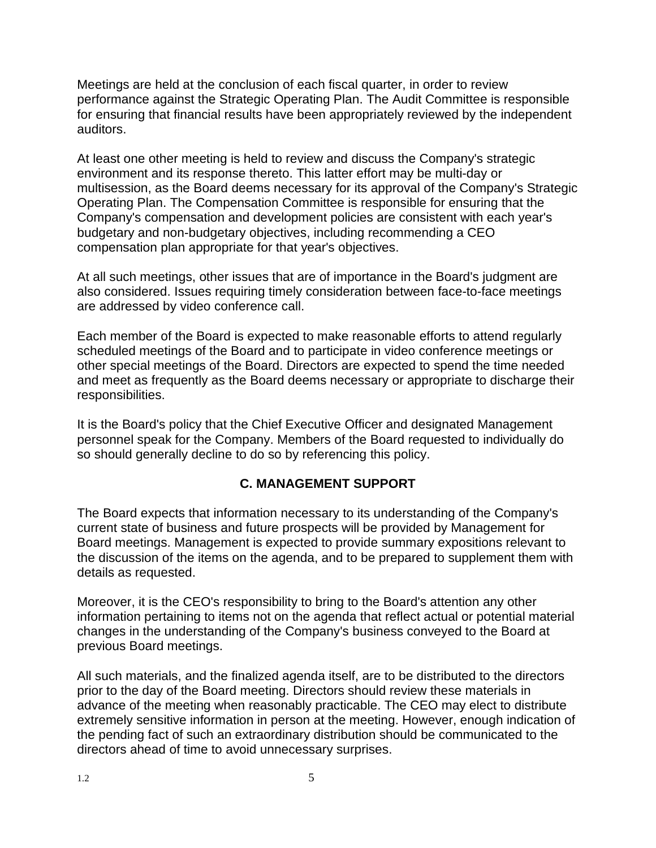Meetings are held at the conclusion of each fiscal quarter, in order to review performance against the Strategic Operating Plan. The Audit Committee is responsible for ensuring that financial results have been appropriately reviewed by the independent auditors.

At least one other meeting is held to review and discuss the Company's strategic environment and its response thereto. This latter effort may be multi-day or multisession, as the Board deems necessary for its approval of the Company's Strategic Operating Plan. The Compensation Committee is responsible for ensuring that the Company's compensation and development policies are consistent with each year's budgetary and non-budgetary objectives, including recommending a CEO compensation plan appropriate for that year's objectives.

At all such meetings, other issues that are of importance in the Board's judgment are also considered. Issues requiring timely consideration between face-to-face meetings are addressed by video conference call.

Each member of the Board is expected to make reasonable efforts to attend regularly scheduled meetings of the Board and to participate in video conference meetings or other special meetings of the Board. Directors are expected to spend the time needed and meet as frequently as the Board deems necessary or appropriate to discharge their responsibilities.

It is the Board's policy that the Chief Executive Officer and designated Management personnel speak for the Company. Members of the Board requested to individually do so should generally decline to do so by referencing this policy.

#### **C. MANAGEMENT SUPPORT**

The Board expects that information necessary to its understanding of the Company's current state of business and future prospects will be provided by Management for Board meetings. Management is expected to provide summary expositions relevant to the discussion of the items on the agenda, and to be prepared to supplement them with details as requested.

Moreover, it is the CEO's responsibility to bring to the Board's attention any other information pertaining to items not on the agenda that reflect actual or potential material changes in the understanding of the Company's business conveyed to the Board at previous Board meetings.

All such materials, and the finalized agenda itself, are to be distributed to the directors prior to the day of the Board meeting. Directors should review these materials in advance of the meeting when reasonably practicable. The CEO may elect to distribute extremely sensitive information in person at the meeting. However, enough indication of the pending fact of such an extraordinary distribution should be communicated to the directors ahead of time to avoid unnecessary surprises.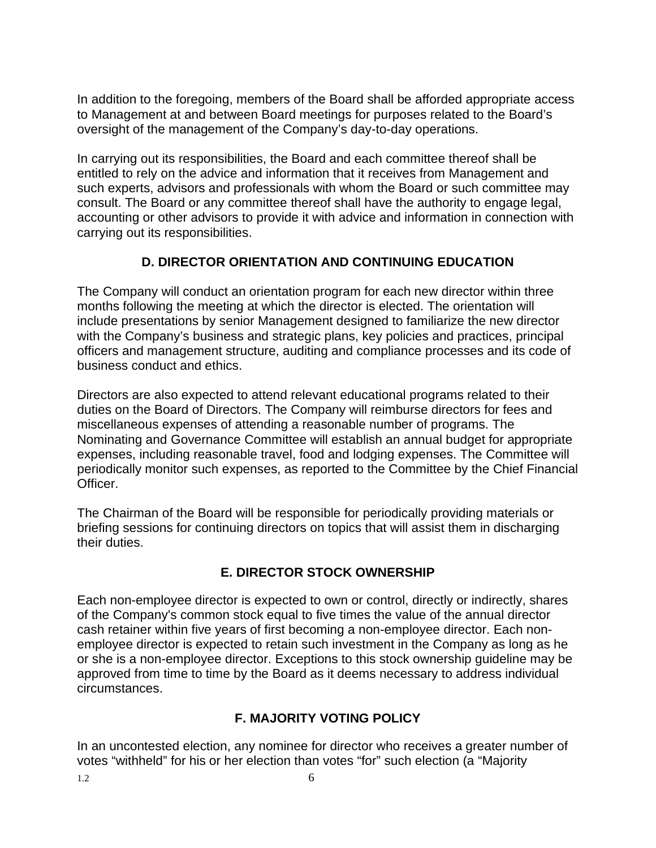In addition to the foregoing, members of the Board shall be afforded appropriate access to Management at and between Board meetings for purposes related to the Board's oversight of the management of the Company's day-to-day operations.

In carrying out its responsibilities, the Board and each committee thereof shall be entitled to rely on the advice and information that it receives from Management and such experts, advisors and professionals with whom the Board or such committee may consult. The Board or any committee thereof shall have the authority to engage legal, accounting or other advisors to provide it with advice and information in connection with carrying out its responsibilities.

#### **D. DIRECTOR ORIENTATION AND CONTINUING EDUCATION**

The Company will conduct an orientation program for each new director within three months following the meeting at which the director is elected. The orientation will include presentations by senior Management designed to familiarize the new director with the Company's business and strategic plans, key policies and practices, principal officers and management structure, auditing and compliance processes and its code of business conduct and ethics.

Directors are also expected to attend relevant educational programs related to their duties on the Board of Directors. The Company will reimburse directors for fees and miscellaneous expenses of attending a reasonable number of programs. The Nominating and Governance Committee will establish an annual budget for appropriate expenses, including reasonable travel, food and lodging expenses. The Committee will periodically monitor such expenses, as reported to the Committee by the Chief Financial Officer.

The Chairman of the Board will be responsible for periodically providing materials or briefing sessions for continuing directors on topics that will assist them in discharging their duties.

#### **E. DIRECTOR STOCK OWNERSHIP**

Each non-employee director is expected to own or control, directly or indirectly, shares of the Company's common stock equal to five times the value of the annual director cash retainer within five years of first becoming a non-employee director. Each nonemployee director is expected to retain such investment in the Company as long as he or she is a non-employee director. Exceptions to this stock ownership guideline may be approved from time to time by the Board as it deems necessary to address individual circumstances.

#### **F. MAJORITY VOTING POLICY**

In an uncontested election, any nominee for director who receives a greater number of votes "withheld" for his or her election than votes "for" such election (a "Majority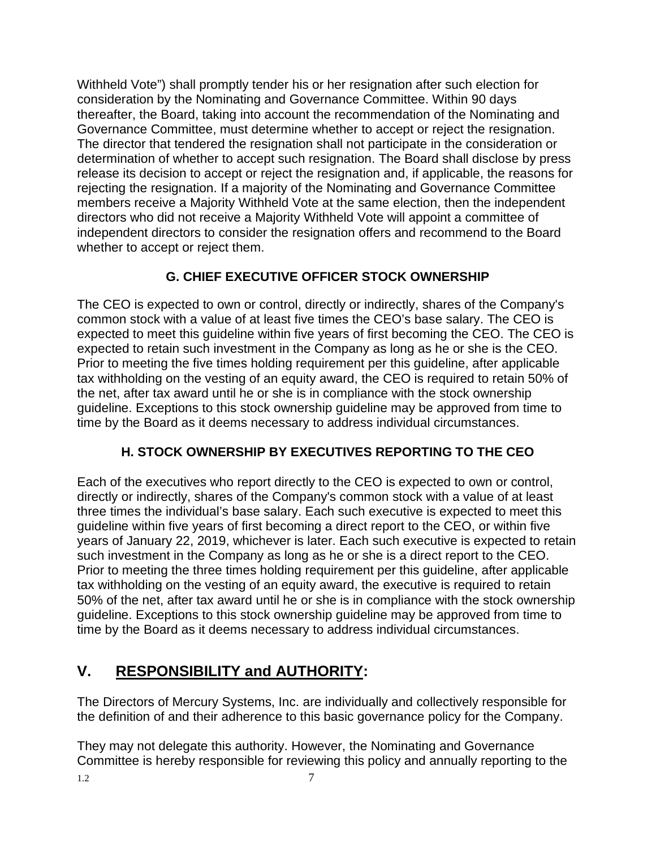Withheld Vote") shall promptly tender his or her resignation after such election for consideration by the Nominating and Governance Committee. Within 90 days thereafter, the Board, taking into account the recommendation of the Nominating and Governance Committee, must determine whether to accept or reject the resignation. The director that tendered the resignation shall not participate in the consideration or determination of whether to accept such resignation. The Board shall disclose by press release its decision to accept or reject the resignation and, if applicable, the reasons for rejecting the resignation. If a majority of the Nominating and Governance Committee members receive a Majority Withheld Vote at the same election, then the independent directors who did not receive a Majority Withheld Vote will appoint a committee of independent directors to consider the resignation offers and recommend to the Board whether to accept or reject them.

#### **G. CHIEF EXECUTIVE OFFICER STOCK OWNERSHIP**

The CEO is expected to own or control, directly or indirectly, shares of the Company's common stock with a value of at least five times the CEO's base salary. The CEO is expected to meet this guideline within five years of first becoming the CEO. The CEO is expected to retain such investment in the Company as long as he or she is the CEO. Prior to meeting the five times holding requirement per this guideline, after applicable tax withholding on the vesting of an equity award, the CEO is required to retain 50% of the net, after tax award until he or she is in compliance with the stock ownership guideline. Exceptions to this stock ownership guideline may be approved from time to time by the Board as it deems necessary to address individual circumstances.

#### **H. STOCK OWNERSHIP BY EXECUTIVES REPORTING TO THE CEO**

Each of the executives who report directly to the CEO is expected to own or control, directly or indirectly, shares of the Company's common stock with a value of at least three times the individual's base salary. Each such executive is expected to meet this guideline within five years of first becoming a direct report to the CEO, or within five years of January 22, 2019, whichever is later. Each such executive is expected to retain such investment in the Company as long as he or she is a direct report to the CEO. Prior to meeting the three times holding requirement per this guideline, after applicable tax withholding on the vesting of an equity award, the executive is required to retain 50% of the net, after tax award until he or she is in compliance with the stock ownership guideline. Exceptions to this stock ownership guideline may be approved from time to time by the Board as it deems necessary to address individual circumstances.

# **V. RESPONSIBILITY and AUTHORITY:**

The Directors of Mercury Systems, Inc. are individually and collectively responsible for the definition of and their adherence to this basic governance policy for the Company.

They may not delegate this authority. However, the Nominating and Governance Committee is hereby responsible for reviewing this policy and annually reporting to the